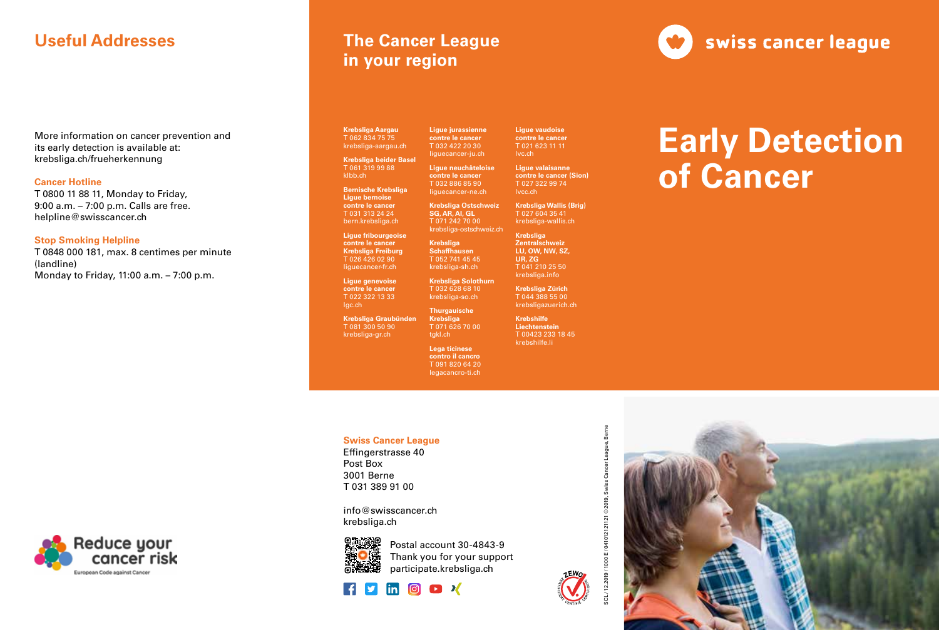### **Useful Addresses**

More information on cancer prevention and its early detection is available at: krebsliga.ch/frueherkennung

#### **Cancer Hotline**

T 0800 11 88 11, Monday to Friday, 9:00 a.m. – 7:00 p.m. Calls are free. helpline@swisscancer.ch

#### **Stop Smoking Helpline**

T 0848 000 181, max. 8 centimes per minute (landline) Monday to Friday, 11:00 a.m. – 7:00 p.m.



## **The Cancer League in your region**

**Krebsliga Aargau** T 062 834 75 75 krebsliga-aargau.ch **Krebsliga beider Basel** T 061 319 99 88 **Bernische Krebsliga Ligue bernoise contre le cancer Ligue jurassienne contre le cancer** T 032 422 20 30 liguecancer-ju.ch **Ligue neuchâteloise contre le cancer** T 032 886 85 90 liguecancer-ne.ch **Krebsliga Ostschweiz**

T 031 313 24 24 bern.krebsliga.ch **Ligue fribourgeoise SG, AR, AI, GL** T 071 242 70 00 krebsliga-ostschweiz.ch

**contre le cancer Krebsliga Freiburg** T 026 426 02 90 liguecancer-fr.ch **Krebsliga Schaffhausen** T 052 741 45 45 krebsliga-sh.ch

**Ligue genevoise contre le cancer**  T 022 322 13 33 lgc.ch

klbb.ch

**Krebsliga Graubünden** T 081 300 50 90 krebsliga-gr.ch

> **Lega ticinese contro il cancro** T 091 820 64 20 legacancro-ti.ch

**Krebsliga Solothurn** T 032 628 68 10 krebsliga-so.ch **Thurgauische Krebsliga** T 071 626 70 00 tgkl.ch

**Ligue vaudoise contre le cancer** T 021 623 11 11 lvc.ch

**Ligue valaisanne contre le cancer (Sion)** T 027 322 99 74 lvcc.ch

**Krebsliga Wallis (Brig)** T 027 604 35 41 krebsliga-wallis.ch

**Krebsliga Zentralschweiz LU, OW, NW, SZ, UR, ZG** T 041 210 25 50 krebsliga.info

**Krebsliga Zürich** T 044 388 55 00 krebsligazuerich.ch

**Krebshilfe Liechtenstein** T 00423 233 18 45 krebshilfe.li

# **Early Detection of Cancer**

**Swiss Cancer League** Effingerstrasse 40 Post Box 3001 Berne T 031 389 91 00

info@swisscancer.ch krebsliga.ch



Postal account 30-4843-9 Thank you for your support participate.krebsliga.ch